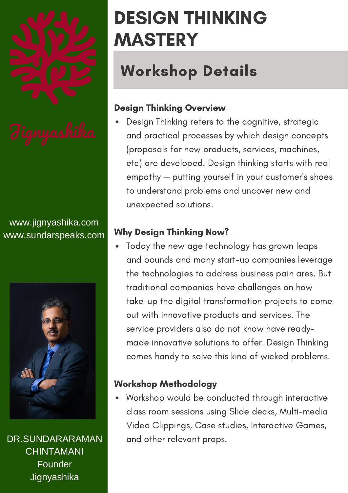

www.jignyashika.com www.sundarspeaks.com



DR.SUNDARARAMAN CHINTAMANI Founder **Jignyashika** 

## DESIGN THINKING MASTERY

## Workshop Details

### Design Thinking Overview

Design Thinking refers to the cognitive, strategic and practical processes by which design concepts (proposals for new products, services, machines, etc) are developed. Design thinking starts with real empathy — putting yourself in your customer's shoes to understand problems and uncover new and unexpected solutions.

### Why Design Thinking Now?

Today the new age technology has grown leaps and bounds and many start-up companies leverage the technologies to address business pain ares. But traditional companies have challenges on how take-up the digital transformation projects to come out with innovative products and services. The service providers also do not know have readymade innovative solutions to offer. Design Thinking comes handy to solve this kind of wicked problems.

### Workshop Methodology

Workshop would be conducted through interactive class room sessions using Slide decks, Multi-media Video Clippings, Case studies, Interactive Games, and other relevant props.